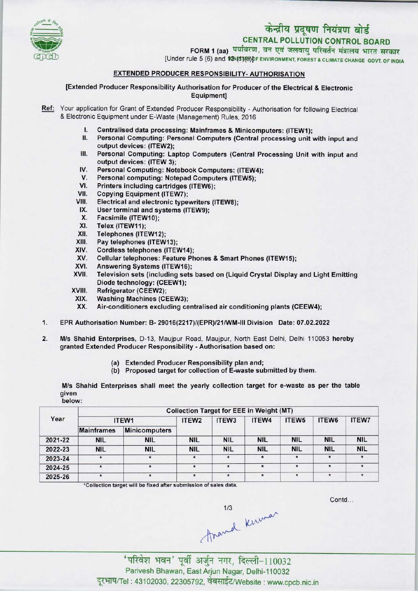

# केन्द्रीय प्रदूषण नियंत्रण बोर्ड

CENTRAL POLLUTION CONTROL BOARD<br>FORM 1 (aa) पर्यावरण, वन एवं जलवायु परिवर्तन मंत्रालय भारत सरकार

[Under rule 5 (6) and  $M\$ (S)(H)<sup>DF</sup> ENVIRONMENT, FOREST & CLIMATE CHANGE GOVT. OF INDIA

# EXTENDED PRODUCER RESPONSIBILITY- AUTHORISATION

[Extended Producer Responsibility Authorisation for Producer of the Electrical & Electronic Equipment]

- Ref: Your application for Grant of Extended Producer Responsibility Authorisation for following Electrical & Electronic Equipment under E-Waste (Management) Rules, 2016
	- I. Centralised data processing: Mainframes & Minicomputers: (ITEW1);<br>II. Personal Computing: Personal Computers (Central processing unit)
	- Personal Computing: Personal Computers (Central processing unit with input and output devices: (ITEW2);
	- III. Personal Computing: Laptop Computers (Central Processing Unit with input and output devices: (ITEW 3);
	- IV. Personal Computing: Notebook Computers: (ITEW4);<br>V. Personal computing: Notepad Computers (ITEW5): Supplit devices: (ITEW 3);<br>V. Personal Computing: Notebook Computers: (ITEW<br>V. Personal computing: Notepad Computers (ITEW5);
	- IV. Personal Computing: Notebook Comp<br>V. Personal computing: Notepad Compu<br>VI. Printers including cartridges (ITEW6);<br>/II. Conving Equipment (ITEW7);
	- VI. Printers including cartridges (ITEW6);<br>VII. Copying Equipment (ITEW7);<br>VIII. Electrical and electronic typewriters (I
	-
	- VIII. Electrical and electronic typewriters (ITEW8);<br>IX. User terminal and systems (ITEW9):
	- III. Copying Equipment (TEW7);<br>III. Electrical and electronic typewriters<br>IX. User terminal and systems (ITEW9); m. Electrical and electrical<br>X. User terminal and s<br>X. Facsimile (ITEW10);<br>X. Telex (ITEW11);
	- X. Facsimile (ITEW10);<br>XI. Telex (ITEW11);<br>XII. Telephones (ITEW12
	-
	- XII. Telephones (ITEW12);<br>XIII. Pay telephones (ITEW
	- XIII. Pay telephones (ITEW13);<br>XIV. Cordless telephones (ITE\
	- XIV. Cordless telephones (ITEW14);<br>XV. Cellular telephones: Feature Ph
	- XIV. Cellular telephones: Feature Phones & Smart Phones (ITEW15);<br>XVI. Answering Systems (ITEW16);<br>XVII. Television sets (including sets based on (Liquid Crystal Display
	-
	- XVI. Answering Systems (ITEW16);<br>XVII. Television sets (including sets based on (Liquid Crystal Display and Light Emitting Diode technology: (CEEW1);
	- XVIII. Refrigerator (CEEW2);
	- XIX. Washing Machines (CEEW3);<br>XX. Air-conditioners excluding ce
	- Air-conditioners excluding centralised air conditioning plants (CEEW4);
- 1.EPR Authorisation Number: B- 29016(2217)/(EPR)/21/WM-lll Division Date: 07.02.2022
- 2. M/s Shahid Enterprises, D-13, Maujpur Road, Maujpur, North East Delhi, Delhi 110053 hereby granted Extended Producer Responsibility - Authorisation based on:
	- (a) Extended Producer Responsibility plan and;
	- (b) Proposed target for collection of E-waste submitted by them.

M/s Shahid Enterprises shall meet the yearly collection target for e-waste as per the table given below:

|         | <b>Collection Target for EEE in Weight (MT)</b> |                      |                   |                   |            |                   |            |              |  |  |  |
|---------|-------------------------------------------------|----------------------|-------------------|-------------------|------------|-------------------|------------|--------------|--|--|--|
| Year    | ITEW1                                           |                      | ITEW <sub>2</sub> | ITEW <sub>3</sub> | ITEW4      | ITEW <sub>5</sub> | ITEW6      | <b>ITEW7</b> |  |  |  |
|         | <b>Mainframes</b>                               | <b>Minicomputers</b> |                   |                   |            |                   |            |              |  |  |  |
| 2021-22 | <b>NIL</b>                                      | <b>NIL</b>           | <b>NIL</b>        | <b>NIL</b>        | <b>NIL</b> | <b>NIL</b>        | <b>NIL</b> | <b>NIL</b>   |  |  |  |
| 2022-23 | <b>NIL</b>                                      | <b>NIL</b>           | <b>NIL</b>        | <b>NIL</b>        | <b>NIL</b> | <b>NIL</b>        | <b>NIL</b> | <b>NIL</b>   |  |  |  |
| 2023-24 | $\star$                                         | $\star$              | $\pmb{\star}$     | $\star$           | $\star$    | $\star$           | $\star$    |              |  |  |  |
| 2024-25 |                                                 |                      | $\star$           | $\star$           | $\star$    | $\star$           | $\star$    |              |  |  |  |
| 2025-26 | $\star$                                         | $\star$              | $\star$           | $\star$           | $\star$    | $\star$           |            |              |  |  |  |

•Collection target will be fixed after submission of sales data.

Contd

 $1/3$ <br>  $1/3$ <br>
'परिवेश भवन' पूर्वी अर्जुन नगर, दिल्ली-110032

Parivesh Bhawan, East Arjun Nagar, Delhi-110032 दूरभाष/Tel : 43102030, 22305792, वेबसाईट/Website : www.cpcb.nic.in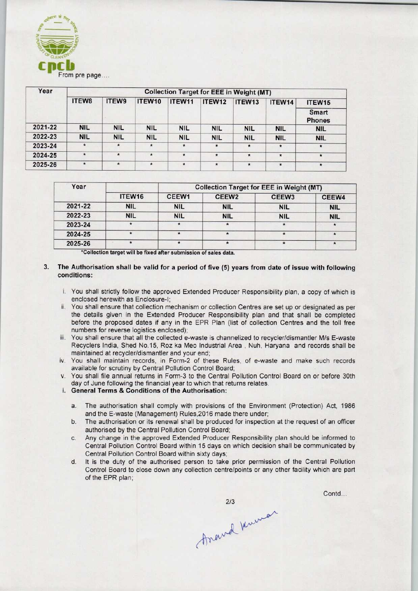

| Year    | <b>Collection Target for EEE in Weight (MT)</b> |            |            |            |            |            |              |                                              |         |
|---------|-------------------------------------------------|------------|------------|------------|------------|------------|--------------|----------------------------------------------|---------|
|         | ITEW8                                           | ITEW9      | ITEW10     | ITEW11     | ITEW12     | ITEW13     | ITEW14       | ITEW <sub>15</sub><br>Smart<br><b>Phones</b> |         |
|         |                                                 |            |            |            |            |            |              |                                              | 2021-22 |
| 2022-23 | <b>NIL</b>                                      | <b>NIL</b> | <b>NIL</b> | <b>NIL</b> | <b>NIL</b> | <b>NIL</b> | <b>NIL</b>   | <b>NIL</b>                                   |         |
| 2023-24 | $\star$                                         |            | $\star$    | $\star$    | $\star$    | $\star$    | $\pmb{\ast}$ | $\star$                                      |         |
| 2024-25 | $\star$                                         | $\star$    | $\star$    | $\star$    | $\star$    | $\star$    | $\star$      | $\star$                                      |         |
| 2025-26 | $\star$                                         | $\star$    | $\star$    | $\star$    | $\star$    | $\star$    | $\star$      | $\pmb{\ast}$                                 |         |

| Year    |            | <b>Collection Target for EEE in Weight (MT)</b> |                   |                   |            |  |  |  |
|---------|------------|-------------------------------------------------|-------------------|-------------------|------------|--|--|--|
|         | ITEW16     | CEEW1                                           | CEEW <sub>2</sub> | CEEW <sub>3</sub> | CEEW4      |  |  |  |
| 2021-22 | <b>NIL</b> | <b>NIL</b>                                      | <b>NIL</b>        | <b>NIL</b>        | <b>NIL</b> |  |  |  |
| 2022-23 | <b>NIL</b> | <b>NIL</b>                                      | <b>NIL</b>        | <b>NIL</b>        | <b>NIL</b> |  |  |  |
| 2023-24 |            |                                                 |                   |                   |            |  |  |  |
| 2024-25 |            |                                                 | $\star$           |                   |            |  |  |  |
| 2025-26 |            |                                                 |                   |                   |            |  |  |  |

\*Collection target will be fixed after submission of sales data.

## 3. The Authorisation shall be valid for a period of five (5) years from date of issue with following conditions:

- i. You shall strictly follow the approved Extended Producer Responsibility plan, a copy of which is enclosed herewith as Enclosure-I;
- ii. You shall ensure that collection mechanism or collection Centres are set up or designated as per the details given in the Extended Producer Responsibility plan and that shall be completed before the proposed dates if any in the EPR Plan (list of collection Centres and the toll free numbers for reverse logistics enclosed);
- iii. You shall ensure that all the collected e-waste is channelized to recycler/dismantler M/s E-waste Recyclers India, Shed No. 15, Roz ka Meo Industrial Area , Nuh, Haryana and records shall be maintained at recycler/dismantler and your end;
- iv. You shall maintain records, in Form-2 of these Rules, of e-waste and make such records available for scrutiny by Central Pollution Control Board;
- v. You shall file annual returns in Form-3 to the Central Pollution Control Board on or before 30th day of June following the financial year to which that returns relates.
- i. General Terms & Conditions of the Authorisation:
	- a.The authorisation shall comply with provisions of the Environment (Protection) Act, <sup>1986</sup> and the E-waste (Management) Rules,2016 made there under;
	- b.The authorisation or its renewal shall be produced for inspection at the request of an officer authorised by the Central Pollution Control Board;
	- c.Any change in the approved Extended Producer Responsibility plan should be informed to Central Pollution Control Board within 15 days on which decision shall be communicated by Central Pollution Control Board within sixty days;
	- d. It is the duty of the authorised person to take prior permission of the Central Pollution Control Board to close down any collection centre/points or any other facility which are part of the EPR plan;

213<br>Anound Kuman

Contd...